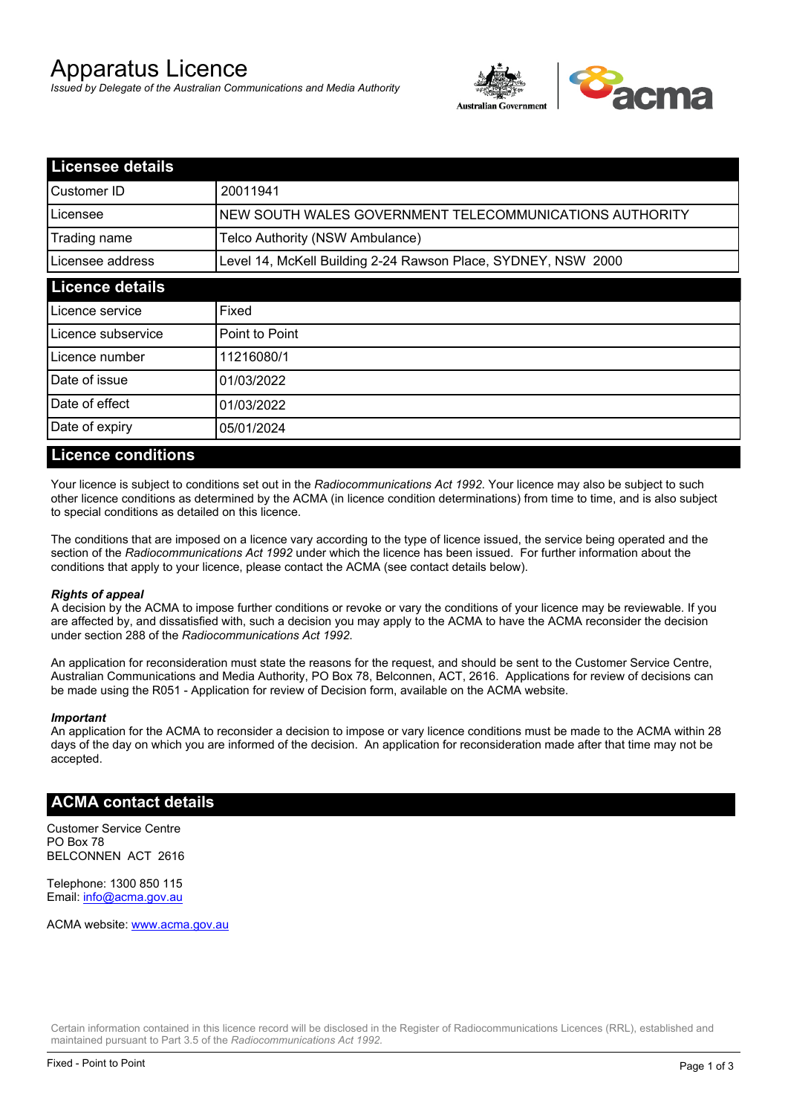# Apparatus Licence

*Issued by Delegate of the Australian Communications and Media Authority*



| <b>Licensee details</b> |                                                               |  |
|-------------------------|---------------------------------------------------------------|--|
| Customer ID             | 20011941                                                      |  |
| Licensee                | NEW SOUTH WALES GOVERNMENT TELECOMMUNICATIONS AUTHORITY       |  |
| Trading name            | Telco Authority (NSW Ambulance)                               |  |
| Licensee address        | Level 14, McKell Building 2-24 Rawson Place, SYDNEY, NSW 2000 |  |
| <b>Licence details</b>  |                                                               |  |
| Licence service         | Fixed                                                         |  |
| Licence subservice      | Point to Point                                                |  |
| Licence number          | 11216080/1                                                    |  |
| Date of issue           | 01/03/2022                                                    |  |
| Date of effect          | 01/03/2022                                                    |  |
| Date of expiry          | 05/01/2024                                                    |  |

### **Licence conditions**

Your licence is subject to conditions set out in the *Radiocommunications Act 1992*. Your licence may also be subject to such other licence conditions as determined by the ACMA (in licence condition determinations) from time to time, and is also subject to special conditions as detailed on this licence.

The conditions that are imposed on a licence vary according to the type of licence issued, the service being operated and the section of the *Radiocommunications Act 1992* under which the licence has been issued. For further information about the conditions that apply to your licence, please contact the ACMA (see contact details below).

#### *Rights of appeal*

A decision by the ACMA to impose further conditions or revoke or vary the conditions of your licence may be reviewable. If you are affected by, and dissatisfied with, such a decision you may apply to the ACMA to have the ACMA reconsider the decision under section 288 of the *Radiocommunications Act 1992*.

An application for reconsideration must state the reasons for the request, and should be sent to the Customer Service Centre, Australian Communications and Media Authority, PO Box 78, Belconnen, ACT, 2616. Applications for review of decisions can be made using the R051 - Application for review of Decision form, available on the ACMA website.

#### *Important*

An application for the ACMA to reconsider a decision to impose or vary licence conditions must be made to the ACMA within 28 days of the day on which you are informed of the decision. An application for reconsideration made after that time may not be accepted.

#### **ACMA contact details**

Customer Service Centre PO Box 78 BELCONNEN ACT 2616

Telephone: 1300 850 115 Email: info@acma.gov.au

ACMA website: www.acma.gov.au

Certain information contained in this licence record will be disclosed in the Register of Radiocommunications Licences (RRL), established and maintained pursuant to Part 3.5 of the *Radiocommunications Act 1992.*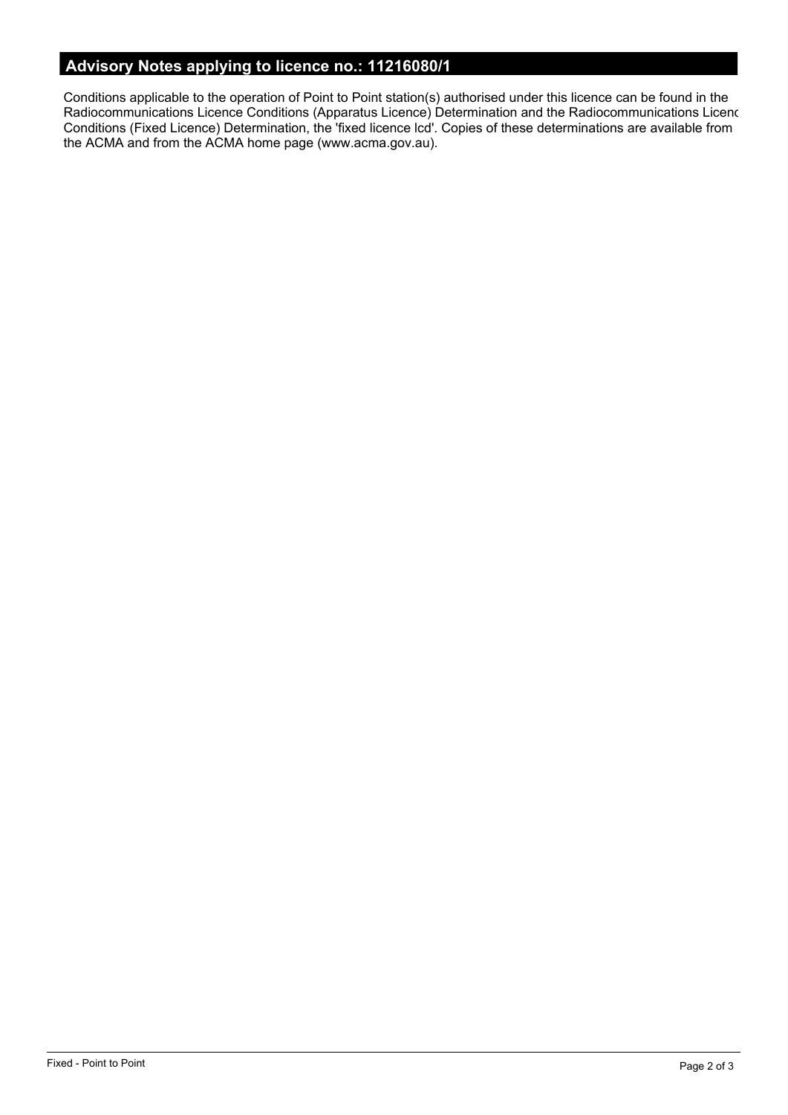# **Advisory Notes applying to licence no.: 11216080/1**

Conditions applicable to the operation of Point to Point station(s) authorised under this licence can be found in the Radiocommunications Licence Conditions (Apparatus Licence) Determination and the Radiocommunications Licence Conditions (Fixed Licence) Determination, the 'fixed licence lcd'. Copies of these determinations are available from the ACMA and from the ACMA home page (www.acma.gov.au).